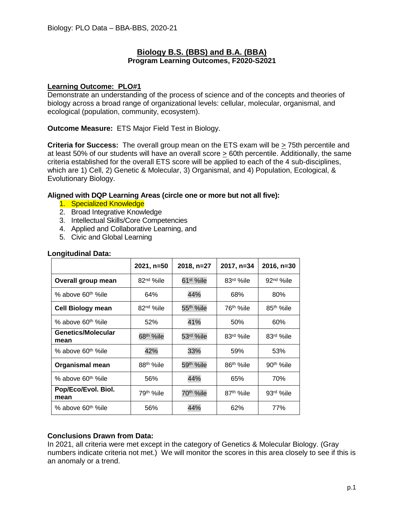# **Biology B.S. (BBS) and B.A. (BBA) Program Learning Outcomes, F2020-S2021**

## **Learning Outcome: PLO#1**

Demonstrate an understanding of the process of science and of the concepts and theories of biology across a broad range of organizational levels: cellular, molecular, organismal, and ecological (population, community, ecosystem).

**Outcome Measure:** ETS Major Field Test in Biology.

**Criteria for Success:** The overall group mean on the ETS exam will be  $\geq$  75th percentile and at least 50% of our students will have an overall score > 60th percentile. Additionally, the same criteria established for the overall ETS score will be applied to each of the 4 sub-disciplines, which are 1) Cell, 2) Genetic & Molecular, 3) Organismal, and 4) Population, Ecological, & Evolutionary Biology.

## **Aligned with DQP Learning Areas (circle one or more but not all five):**

- 1. Specialized Knowledge
- 2. Broad Integrative Knowledge
- 3. Intellectual Skills/Core Competencies
- 4. Applied and Collaborative Learning, and
- 5. Civic and Global Learning

|                                   | 2021, n=50            | 2018, n=27            | 2017, n=34             | 2016, n=30             |
|-----------------------------------|-----------------------|-----------------------|------------------------|------------------------|
| Overall group mean                | 82 <sup>nd</sup> %ile | 61 <sup>st</sup> %ile | 83rd %ile              | $92nd$ %ile            |
| % above 60 <sup>th %</sup> ile    | 64%                   | 44%                   | 68%                    | 80%                    |
| <b>Cell Biology mean</b>          | 82 <sup>nd</sup> %ile | 55 <sup>th</sup> %ile | 76 <sup>th %</sup> ile | 85 <sup>th %</sup> ile |
| % above 60 <sup>th %</sup> ile    | 52%                   | 41%                   | 50%                    | 60%                    |
| <b>Genetics/Molecular</b><br>mean | 68 <sup>th</sup> %ile | 53rd %ile             | 83rd %ile              | 83rd %ile              |
| % above 60 <sup>th %</sup> ile    | 42%                   | 33%                   | 59%                    | 53%                    |
| <b>Organismal mean</b>            | 88 <sup>th</sup> %ile | 59 <sup>th</sup> %ile | 86 <sup>th</sup> %ile  | 90 <sup>th</sup> %ile  |
| % above 60 <sup>th %</sup> ile    | 56%                   | 44%                   | 65%                    | 70%                    |
| Pop/Eco/Evol. Biol.<br>mean       | 79 <sup>th</sup> %ile | 70 <sup>th</sup> %ile | 87 <sup>th %</sup> ile | 93rd %ile              |
| % above 60 <sup>th %</sup> ile    | 56%                   | 44%                   | 62%                    | 77%                    |

## **Longitudinal Data:**

# **Conclusions Drawn from Data:**

In 2021, all criteria were met except in the category of Genetics & Molecular Biology. (Gray numbers indicate criteria not met.) We will monitor the scores in this area closely to see if this is an anomaly or a trend.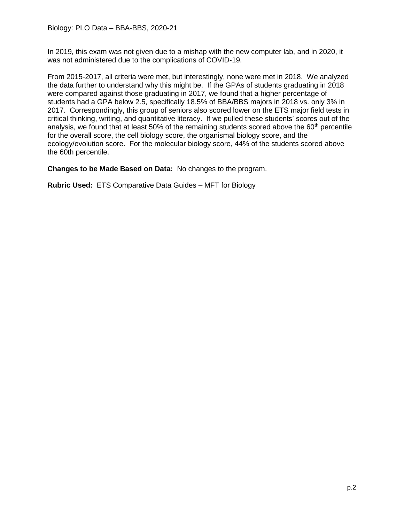In 2019, this exam was not given due to a mishap with the new computer lab, and in 2020, it was not administered due to the complications of COVID-19.

From 2015-2017, all criteria were met, but interestingly, none were met in 2018. We analyzed the data further to understand why this might be. If the GPAs of students graduating in 2018 were compared against those graduating in 2017, we found that a higher percentage of students had a GPA below 2.5, specifically 18.5% of BBA/BBS majors in 2018 vs. only 3% in 2017. Correspondingly, this group of seniors also scored lower on the ETS major field tests in critical thinking, writing, and quantitative literacy. If we pulled these students' scores out of the analysis, we found that at least 50% of the remaining students scored above the 60<sup>th</sup> percentile for the overall score, the cell biology score, the organismal biology score, and the ecology/evolution score. For the molecular biology score, 44% of the students scored above the 60th percentile.

**Changes to be Made Based on Data:** No changes to the program.

**Rubric Used:** ETS Comparative Data Guides – MFT for Biology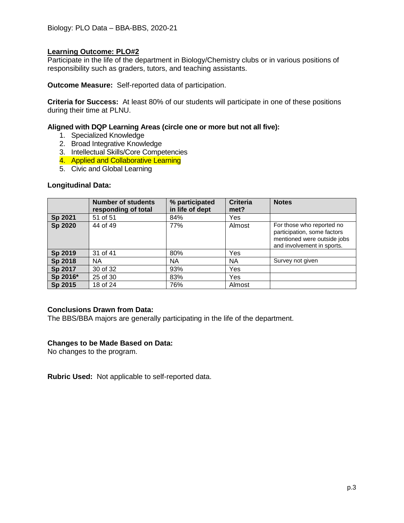## **Learning Outcome: PLO#2**

Participate in the life of the department in Biology/Chemistry clubs or in various positions of responsibility such as graders, tutors, and teaching assistants.

**Outcome Measure:** Self-reported data of participation.

**Criteria for Success:** At least 80% of our students will participate in one of these positions during their time at PLNU.

## **Aligned with DQP Learning Areas (circle one or more but not all five):**

- 1. Specialized Knowledge
- 2. Broad Integrative Knowledge
- 3. Intellectual Skills/Core Competencies
- 4. Applied and Collaborative Learning
- 5. Civic and Global Learning

#### **Longitudinal Data:**

|          | <b>Number of students</b><br>responding of total | % participated<br>in life of dept | <b>Criteria</b><br>met? | <b>Notes</b>                                                                                                          |
|----------|--------------------------------------------------|-----------------------------------|-------------------------|-----------------------------------------------------------------------------------------------------------------------|
| Sp 2021  | 51 of 51                                         | 84%                               | Yes                     |                                                                                                                       |
| Sp 2020  | 44 of 49                                         | 77%                               | Almost                  | For those who reported no<br>participation, some factors<br>mentioned were outside jobs<br>and involvement in sports. |
| Sp 2019  | 31 of 41                                         | 80%                               | Yes                     |                                                                                                                       |
| Sp 2018  | NА                                               | NА                                | <b>NA</b>               | Survey not given                                                                                                      |
| Sp 2017  | 30 of 32                                         | 93%                               | Yes                     |                                                                                                                       |
| Sp 2016* | 25 of 30                                         | 83%                               | Yes                     |                                                                                                                       |
| Sp 2015  | 18 of 24                                         | 76%                               | Almost                  |                                                                                                                       |

## **Conclusions Drawn from Data:**

The BBS/BBA majors are generally participating in the life of the department.

#### **Changes to be Made Based on Data:**

No changes to the program.

**Rubric Used:** Not applicable to self-reported data.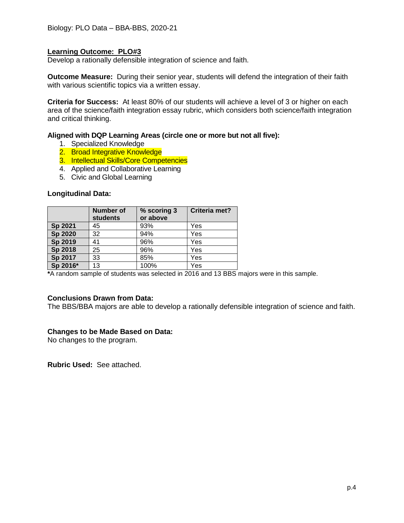## **Learning Outcome: PLO#3**

Develop a rationally defensible integration of science and faith.

**Outcome Measure:** During their senior year, students will defend the integration of their faith with various scientific topics via a written essay.

**Criteria for Success:** At least 80% of our students will achieve a level of 3 or higher on each area of the science/faith integration essay rubric, which considers both science/faith integration and critical thinking.

## **Aligned with DQP Learning Areas (circle one or more but not all five):**

- 1. Specialized Knowledge
- 2. Broad Integrative Knowledge
- 3. Intellectual Skills/Core Competencies
- 4. Applied and Collaborative Learning
- 5. Civic and Global Learning

#### **Longitudinal Data:**

|          | Number of<br><b>students</b> | % scoring 3<br>or above | Criteria met? |
|----------|------------------------------|-------------------------|---------------|
| Sp 2021  | 45                           | 93%                     | Yes           |
| Sp 2020  | 32                           | 94%                     | Yes           |
| Sp 2019  | 41                           | 96%                     | Yes           |
| Sp 2018  | 25                           | 96%                     | Yes           |
| Sp 2017  | 33                           | 85%                     | Yes           |
| Sp 2016* | 13                           | 100%                    | Yes           |

**\***A random sample of students was selected in 2016 and 13 BBS majors were in this sample.

## **Conclusions Drawn from Data:**

The BBS/BBA majors are able to develop a rationally defensible integration of science and faith.

#### **Changes to be Made Based on Data:**

No changes to the program.

**Rubric Used:** See attached.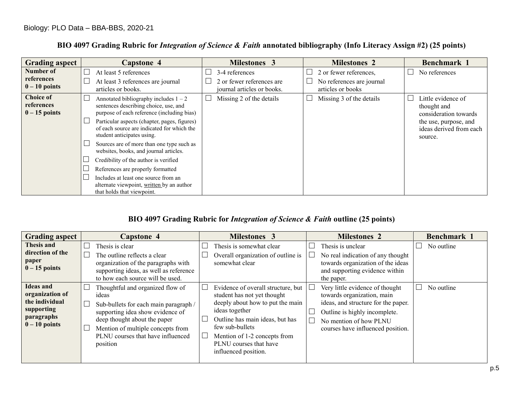|  |  | BIO 4097 Grading Rubric for Integration of Science & Faith annotated bibliography (Info Literacy Assign #2) (25 points) |
|--|--|-------------------------------------------------------------------------------------------------------------------------|
|  |  |                                                                                                                         |

| <b>Grading aspect</b>                             | Capstone 4                                                                                                                     | <b>Milestones 3</b>                                                       | <b>Milestones 2</b>                                                      | Benchmark 1                                                          |
|---------------------------------------------------|--------------------------------------------------------------------------------------------------------------------------------|---------------------------------------------------------------------------|--------------------------------------------------------------------------|----------------------------------------------------------------------|
| Number of<br>references<br>$0 - 10$ points        | At least 5 references<br>At least 3 references are journal<br>articles or books.                                               | 3-4 references<br>2 or fewer references are<br>journal articles or books. | 2 or fewer references,<br>No references are journal<br>articles or books | No references<br>$\Box$                                              |
| <b>Choice of</b><br>references<br>$0 - 15$ points | Annotated bibliography includes $1 - 2$<br>sentences describing choice, use, and<br>purpose of each reference (including bias) | Missing 2 of the details                                                  | Missing 3 of the details                                                 | $\Box$<br>Little evidence of<br>thought and<br>consideration towards |
|                                                   | Particular aspects (chapter, pages, figures)<br>of each source are indicated for which the<br>student anticipates using.       |                                                                           |                                                                          | the use, purpose, and<br>ideas derived from each<br>source.          |
|                                                   | Sources are of more than one type such as<br>websites, books, and journal articles.                                            |                                                                           |                                                                          |                                                                      |
|                                                   | Credibility of the author is verified<br>References are properly formatted                                                     |                                                                           |                                                                          |                                                                      |
|                                                   | Includes at least one source from an<br>alternate viewpoint, written by an author<br>that holds that viewpoint.                |                                                                           |                                                                          |                                                                      |

# **BIO 4097 Grading Rubric for** *Integration of Science & Faith* **outline (25 points)**

| <b>Grading aspect</b>                                                                                | <b>Capstone 4</b>                                                                                                                                                                                                                            | <b>Milestones 3</b>                                                                                                                                                                                                                                             | <b>Milestones 2</b>                                                                                                                                                                                       | Benchmark 1 |
|------------------------------------------------------------------------------------------------------|----------------------------------------------------------------------------------------------------------------------------------------------------------------------------------------------------------------------------------------------|-----------------------------------------------------------------------------------------------------------------------------------------------------------------------------------------------------------------------------------------------------------------|-----------------------------------------------------------------------------------------------------------------------------------------------------------------------------------------------------------|-------------|
| Thesis and<br>direction of the<br>paper<br>$0 - 15$ points                                           | Thesis is clear<br>The outline reflects a clear<br>organization of the paragraphs with<br>supporting ideas, as well as reference<br>to how each source will be used.                                                                         | Thesis is somewhat clear<br>Overall organization of outline is<br>somewhat clear                                                                                                                                                                                | Thesis is unclear<br>No real indication of any thought<br>$\overline{\phantom{a}}$<br>towards organization of the ideas<br>and supporting evidence within<br>the paper.                                   | No outline  |
| <b>Ideas and</b><br>organization of<br>the individual<br>supporting<br>paragraphs<br>$0 - 10$ points | Thoughtful and organized flow of<br>ideas<br>Sub-bullets for each main paragraph /<br>supporting idea show evidence of<br>deep thought about the paper<br>Mention of multiple concepts from<br>PLNU courses that have influenced<br>position | Evidence of overall structure, but<br>student has not yet thought<br>deeply about how to put the main<br>ideas together<br>Outline has main ideas, but has<br>few sub-bullets<br>Mention of 1-2 concepts from<br>PLNU courses that have<br>influenced position. | Very little evidence of thought<br>L<br>towards organization, main<br>ideas, and structure for the paper.<br>Outline is highly incomplete.<br>No mention of how PLNU<br>courses have influenced position. | No outline  |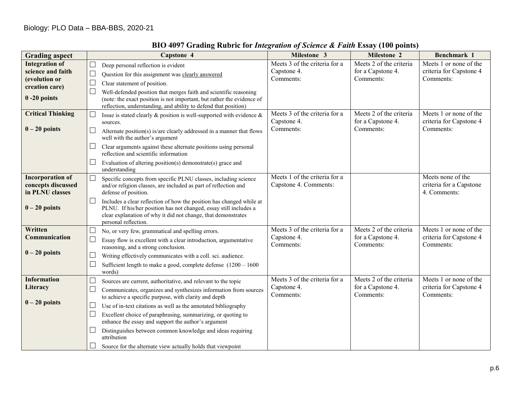| <b>Grading aspect</b>                                                                            | Capstone 4                                                                                                                                                                                                                                                                                                                                                                                                                                                                                                                                                              | Milestone 3                                               | <b>Milestone 2</b>                                        | Benchmark 1                                                    |
|--------------------------------------------------------------------------------------------------|-------------------------------------------------------------------------------------------------------------------------------------------------------------------------------------------------------------------------------------------------------------------------------------------------------------------------------------------------------------------------------------------------------------------------------------------------------------------------------------------------------------------------------------------------------------------------|-----------------------------------------------------------|-----------------------------------------------------------|----------------------------------------------------------------|
| <b>Integration of</b><br>science and faith<br>(evolution or<br>creation care)<br>$0 - 20$ points | $\Box$<br>Deep personal reflection is evident<br>$\Box$<br>Question for this assignment was clearly answered<br>$\Box$<br>Clear statement of position.<br>$\Box$<br>Well-defended position that merges faith and scientific reasoning<br>(note: the exact position is not important, but rather the evidence of<br>reflection, understanding, and ability to defend that position)                                                                                                                                                                                      | Meets 3 of the criteria for a<br>Capstone 4.<br>Comments: | Meets 2 of the criteria<br>for a Capstone 4.<br>Comments: | Meets 1 or none of the<br>criteria for Capstone 4<br>Comments: |
| <b>Critical Thinking</b><br>$0 - 20$ points                                                      | Issue is stated clearly $\&$ position is well-supported with evidence $\&$<br>sources.<br>$\Box$<br>Alternate position(s) is/are clearly addressed in a manner that flows<br>well with the author's argument<br>Clear arguments against these alternate positions using personal<br>$\Box$<br>reflection and scientific information<br>Evaluation of altering position(s) demonstrate(s) grace and<br>$\Box$<br>understanding                                                                                                                                           | Meets 3 of the criteria for a<br>Capstone 4.<br>Comments: | Meets 2 of the criteria<br>for a Capstone 4.<br>Comments: | Meets 1 or none of the<br>criteria for Capstone 4<br>Comments: |
| <b>Incorporation of</b><br>concepts discussed<br>in PLNU classes<br>$0 - 20$ points              | $\Box$<br>Specific concepts from specific PLNU classes, including science<br>and/or religion classes, are included as part of reflection and<br>defense of position.<br>$\Box$<br>Includes a clear reflection of how the position has changed while at<br>PLNU. If his/her position has not changed, essay still includes a<br>clear explanation of why it did not change, that demonstrates<br>personal reflection.                                                                                                                                                    | Meets 1 of the criteria for a<br>Capstone 4. Comments:    |                                                           | Meets none of the<br>criteria for a Capstone<br>4. Comments:   |
| Written<br>Communication<br>$0 - 20$ points                                                      | No, or very few, grammatical and spelling errors.<br>$\Box$<br>Essay flow is excellent with a clear introduction, argumentative<br>$\Box$<br>reasoning, and a strong conclusion.<br>$\mathbf{L}$<br>Writing effectively communicates with a coll. sci. audience.<br>Sufficient length to make a good, complete defense $(1200 - 1600)$<br>ட<br>words)                                                                                                                                                                                                                   | Meets 3 of the criteria for a<br>Capstone 4.<br>Comments: | Meets 2 of the criteria<br>for a Capstone 4.<br>Comments: | Meets 1 or none of the<br>criteria for Capstone 4<br>Comments: |
| <b>Information</b><br>Literacy<br>$0 - 20$ points                                                | Sources are current, authoritative, and relevant to the topic<br>$\Box$<br>$\Box$<br>Communicates, organizes and synthesizes information from sources<br>to achieve a specific purpose, with clarity and depth<br>Use of in-text citations as well as the annotated bibliography<br>$\Box$<br>$\Box$<br>Excellent choice of paraphrasing, summarizing, or quoting to<br>enhance the essay and support the author's argument<br>Distinguishes between common knowledge and ideas requiring<br>attribution<br>Source for the alternate view actually holds that viewpoint | Meets 3 of the criteria for a<br>Capstone 4.<br>Comments: | Meets 2 of the criteria<br>for a Capstone 4.<br>Comments: | Meets 1 or none of the<br>criteria for Capstone 4<br>Comments: |

# **BIO 4097 Grading Rubric for** *Integration of Science & Faith* **Essay (100 points)**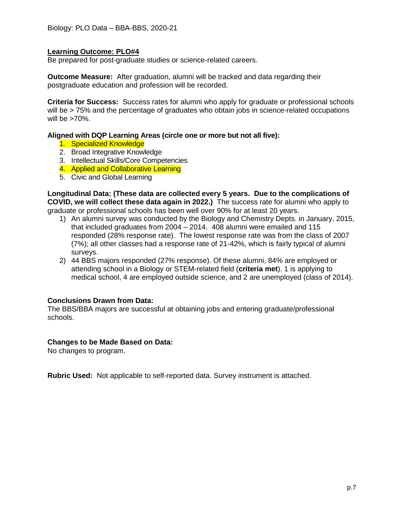## **Learning Outcome: PLO#4**

Be prepared for post-graduate studies or science-related careers.

**Outcome Measure:** After graduation, alumni will be tracked and data regarding their postgraduate education and profession will be recorded.

**Criteria for Success:** Success rates for alumni who apply for graduate or professional schools will be > 75% and the percentage of graduates who obtain jobs in science-related occupations will be  $>70\%$ .

#### **Aligned with DQP Learning Areas (circle one or more but not all five):**

- 1. Specialized Knowledge
- 2. Broad Integrative Knowledge
- 3. Intellectual Skills/Core Competencies
- 4. Applied and Collaborative Learning
- 5. Civic and Global Learning

**Longitudinal Data: (These data are collected every 5 years. Due to the complications of COVID, we will collect these data again in 2022.)** The success rate for alumni who apply to graduate or professional schools has been well over 90% for at least 20 years.

- 1) An alumni survey was conducted by the Biology and Chemistry Depts. in January, 2015, that included graduates from 2004 – 2014. 408 alumni were emailed and 115 responded (28% response rate). The lowest response rate was from the class of 2007 (7%); all other classes had a response rate of 21-42%, which is fairly typical of alumni surveys.
- 2) 44 BBS majors responded (27% response). Of these alumni, 84% are employed or attending school in a Biology or STEM-related field (**criteria met**). 1 is applying to medical school, 4 are employed outside science, and 2 are unemployed (class of 2014).

#### **Conclusions Drawn from Data:**

The BBS/BBA majors are successful at obtaining jobs and entering graduate/professional schools.

#### **Changes to be Made Based on Data:**

No changes to program.

**Rubric Used:** Not applicable to self-reported data. Survey instrument is attached.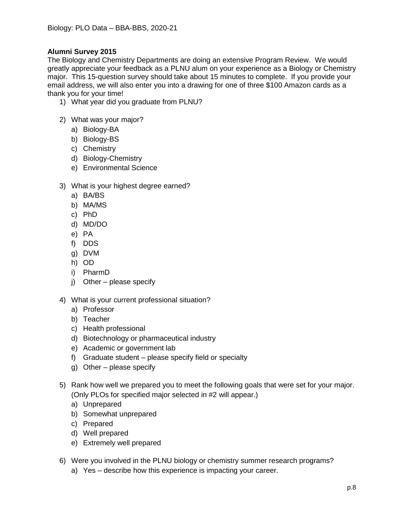# **Alumni Survey 2015**

The Biology and Chemistry Departments are doing an extensive Program Review. We would greatly appreciate your feedback as a PLNU alum on your experience as a Biology or Chemistry major. This 15-question survey should take about 15 minutes to complete. If you provide your email address, we will also enter you into a drawing for one of three \$100 Amazon cards as a thank you for your time!

- 1) What year did you graduate from PLNU?
- 2) What was your major?
	- a) Biology-BA
	- b) Biology-BS
	- c) Chemistry
	- d) Biology-Chemistry
	- e) Environmental Science
- 3) What is your highest degree earned?
	- a) BA/BS
	- b) MA/MS
	- c) PhD
	- d) MD/DO
	- e) PA
	- f) DDS
	- g) DVM
	- h) OD
	- i) PharmD
	- j) Other please specify
- 4) What is your current professional situation?
	- a) Professor
	- b) Teacher
	- c) Health professional
	- d) Biotechnology or pharmaceutical industry
	- e) Academic or government lab
	- f) Graduate student please specify field or specialty
	- g) Other please specify
- 5) Rank how well we prepared you to meet the following goals that were set for your major. (Only PLOs for specified major selected in #2 will appear.)
	- a) Unprepared
	- b) Somewhat unprepared
	- c) Prepared
	- d) Well prepared
	- e) Extremely well prepared
- 6) Were you involved in the PLNU biology or chemistry summer research programs?
	- a) Yes describe how this experience is impacting your career.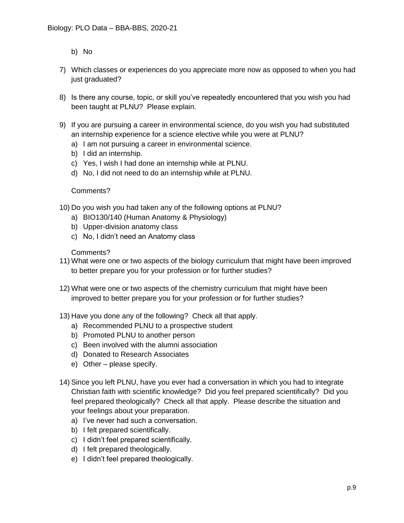- b) No
- 7) Which classes or experiences do you appreciate more now as opposed to when you had just graduated?
- 8) Is there any course, topic, or skill you've repeatedly encountered that you wish you had been taught at PLNU? Please explain.
- 9) If you are pursuing a career in environmental science, do you wish you had substituted an internship experience for a science elective while you were at PLNU?
	- a) I am not pursuing a career in environmental science.
	- b) I did an internship.
	- c) Yes, I wish I had done an internship while at PLNU.
	- d) No, I did not need to do an internship while at PLNU.

# Comments?

- 10) Do you wish you had taken any of the following options at PLNU?
	- a) BIO130/140 (Human Anatomy & Physiology)
	- b) Upper-division anatomy class
	- c) No, I didn't need an Anatomy class

# Comments?

- 11) What were one or two aspects of the biology curriculum that might have been improved to better prepare you for your profession or for further studies?
- 12) What were one or two aspects of the chemistry curriculum that might have been improved to better prepare you for your profession or for further studies?
- 13) Have you done any of the following? Check all that apply.
	- a) Recommended PLNU to a prospective student
	- b) Promoted PLNU to another person
	- c) Been involved with the alumni association
	- d) Donated to Research Associates
	- e) Other please specify.
- 14) Since you left PLNU, have you ever had a conversation in which you had to integrate Christian faith with scientific knowledge? Did you feel prepared scientifically? Did you feel prepared theologically? Check all that apply. Please describe the situation and your feelings about your preparation.
	- a) I've never had such a conversation.
	- b) I felt prepared scientifically.
	- c) I didn't feel prepared scientifically.
	- d) I felt prepared theologically.
	- e) I didn't feel prepared theologically.